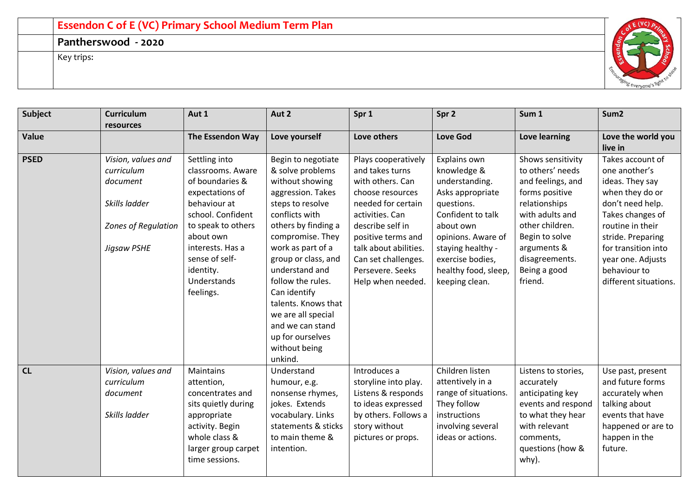## **Essendon C of E (VC) Primary School Medium Term Plan**

**Pantherswood - 2020**

Key trips:



| <b>Subject</b> | <b>Curriculum</b><br>resources                                | Aut 1                                                                                                                                                          | Aut 2                                                                                                                                                                                                                                                              | Spr 1                                                                                                                                              | Spr <sub>2</sub>                                                                                                                        | Sum 1                                                                                                                                                       | Sum <sub>2</sub>                                                                                                                                |
|----------------|---------------------------------------------------------------|----------------------------------------------------------------------------------------------------------------------------------------------------------------|--------------------------------------------------------------------------------------------------------------------------------------------------------------------------------------------------------------------------------------------------------------------|----------------------------------------------------------------------------------------------------------------------------------------------------|-----------------------------------------------------------------------------------------------------------------------------------------|-------------------------------------------------------------------------------------------------------------------------------------------------------------|-------------------------------------------------------------------------------------------------------------------------------------------------|
| Value          |                                                               | The Essendon Way                                                                                                                                               | Love yourself                                                                                                                                                                                                                                                      | Love others                                                                                                                                        | <b>Love God</b>                                                                                                                         | Love learning                                                                                                                                               | Love the world you<br>live in                                                                                                                   |
| <b>PSED</b>    | Vision, values and<br>curriculum<br>document<br>Skills ladder | Settling into<br>classrooms. Aware<br>of boundaries &<br>expectations of<br>behaviour at                                                                       | Begin to negotiate<br>& solve problems<br>without showing<br>aggression. Takes<br>steps to resolve                                                                                                                                                                 | Plays cooperatively<br>and takes turns<br>with others. Can<br>choose resources<br>needed for certain                                               | Explains own<br>knowledge &<br>understanding.<br>Asks appropriate<br>questions.                                                         | Shows sensitivity<br>to others' needs<br>and feelings, and<br>forms positive<br>relationships                                                               | Takes account of<br>one another's<br>ideas. They say<br>when they do or<br>don't need help.                                                     |
|                | Zones of Regulation<br>Jigsaw PSHE                            | school. Confident<br>to speak to others<br>about own<br>interests. Has a<br>sense of self-<br>identity.<br>Understands<br>feelings.                            | conflicts with<br>others by finding a<br>compromise. They<br>work as part of a<br>group or class, and<br>understand and<br>follow the rules.<br>Can identify<br>talents. Knows that<br>we are all special<br>and we can stand<br>up for ourselves<br>without being | activities. Can<br>describe self in<br>positive terms and<br>talk about abilities.<br>Can set challenges.<br>Persevere. Seeks<br>Help when needed. | Confident to talk<br>about own<br>opinions. Aware of<br>staying healthy -<br>exercise bodies,<br>healthy food, sleep,<br>keeping clean. | with adults and<br>other children.<br>Begin to solve<br>arguments &<br>disagreements.<br>Being a good<br>friend.                                            | Takes changes of<br>routine in their<br>stride. Preparing<br>for transition into<br>year one. Adjusts<br>behaviour to<br>different situations.  |
| CL             | Vision, values and<br>curriculum<br>document<br>Skills ladder | Maintains<br>attention,<br>concentrates and<br>sits quietly during<br>appropriate<br>activity. Begin<br>whole class &<br>larger group carpet<br>time sessions. | unkind.<br>Understand<br>humour, e.g.<br>nonsense rhymes,<br>jokes. Extends<br>vocabulary. Links<br>statements & sticks<br>to main theme &<br>intention.                                                                                                           | Introduces a<br>storyline into play.<br>Listens & responds<br>to ideas expressed<br>by others. Follows a<br>story without<br>pictures or props.    | Children listen<br>attentively in a<br>range of situations.<br>They follow<br>instructions<br>involving several<br>ideas or actions.    | Listens to stories,<br>accurately<br>anticipating key<br>events and respond<br>to what they hear<br>with relevant<br>comments,<br>questions (how &<br>why). | Use past, present<br>and future forms<br>accurately when<br>talking about<br>events that have<br>happened or are to<br>happen in the<br>future. |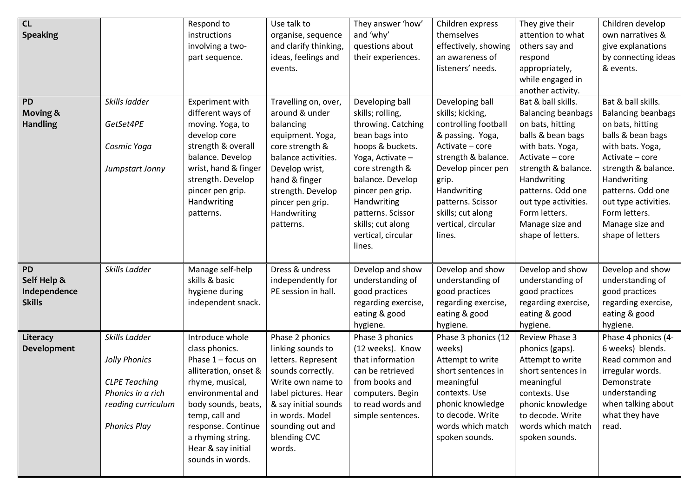| CL<br><b>Speaking</b><br>PD<br><b>Moving &amp;</b><br><b>Handling</b>         | Skills ladder<br>GetSet4PE<br>Cosmic Yoga<br>Jumpstart Jonny                                                                              | Respond to<br>instructions<br>involving a two-<br>part sequence.<br>Experiment with<br>different ways of<br>moving. Yoga, to<br>develop core<br>strength & overall<br>balance. Develop<br>wrist, hand & finger<br>strength. Develop<br>pincer pen grip.<br>Handwriting<br>patterns.                                                    | Use talk to<br>organise, sequence<br>and clarify thinking,<br>ideas, feelings and<br>events.<br>Travelling on, over,<br>around & under<br>balancing<br>equipment. Yoga,<br>core strength &<br>balance activities.<br>Develop wrist,<br>hand & finger<br>strength. Develop<br>pincer pen grip.<br>Handwriting<br>patterns. | They answer 'how'<br>and 'why'<br>questions about<br>their experiences.<br>Developing ball<br>skills; rolling,<br>throwing. Catching<br>bean bags into<br>hoops & buckets.<br>Yoga, Activate -<br>core strength &<br>balance. Develop<br>pincer pen grip.<br>Handwriting<br>patterns. Scissor<br>skills; cut along<br>vertical, circular | Children express<br>themselves<br>effectively, showing<br>an awareness of<br>listeners' needs.<br>Developing ball<br>skills; kicking,<br>controlling football<br>& passing. Yoga,<br>Activate - core<br>strength & balance.<br>Develop pincer pen<br>grip.<br>Handwriting<br>patterns. Scissor<br>skills; cut along<br>vertical, circular<br>lines. | They give their<br>attention to what<br>others say and<br>respond<br>appropriately,<br>while engaged in<br>another activity.<br>Bat & ball skills.<br><b>Balancing beanbags</b><br>on bats, hitting<br>balls & bean bags<br>with bats. Yoga,<br>Activate - core<br>strength & balance.<br>Handwriting<br>patterns. Odd one<br>out type activities.<br>Form letters.<br>Manage size and<br>shape of letters. | Children develop<br>own narratives &<br>give explanations<br>by connecting ideas<br>& events.<br>Bat & ball skills.<br><b>Balancing beanbags</b><br>on bats, hitting<br>balls & bean bags<br>with bats. Yoga,<br>Activate - core<br>strength & balance.<br>Handwriting<br>patterns. Odd one<br>out type activities.<br>Form letters.<br>Manage size and<br>shape of letters |
|-------------------------------------------------------------------------------|-------------------------------------------------------------------------------------------------------------------------------------------|----------------------------------------------------------------------------------------------------------------------------------------------------------------------------------------------------------------------------------------------------------------------------------------------------------------------------------------|---------------------------------------------------------------------------------------------------------------------------------------------------------------------------------------------------------------------------------------------------------------------------------------------------------------------------|------------------------------------------------------------------------------------------------------------------------------------------------------------------------------------------------------------------------------------------------------------------------------------------------------------------------------------------|-----------------------------------------------------------------------------------------------------------------------------------------------------------------------------------------------------------------------------------------------------------------------------------------------------------------------------------------------------|-------------------------------------------------------------------------------------------------------------------------------------------------------------------------------------------------------------------------------------------------------------------------------------------------------------------------------------------------------------------------------------------------------------|-----------------------------------------------------------------------------------------------------------------------------------------------------------------------------------------------------------------------------------------------------------------------------------------------------------------------------------------------------------------------------|
| PD<br>Self Help &<br>Independence<br><b>Skills</b><br>Literacy<br>Development | Skills Ladder<br>Skills Ladder<br>Jolly Phonics<br><b>CLPE Teaching</b><br>Phonics in a rich<br>reading curriculum<br><b>Phonics Play</b> | Manage self-help<br>skills & basic<br>hygiene during<br>independent snack.<br>Introduce whole<br>class phonics.<br>Phase $1$ – focus on<br>alliteration, onset &<br>rhyme, musical,<br>environmental and<br>body sounds, beats,<br>temp, call and<br>response. Continue<br>a rhyming string.<br>Hear & say initial<br>sounds in words. | Dress & undress<br>independently for<br>PE session in hall.<br>Phase 2 phonics<br>linking sounds to<br>letters. Represent<br>sounds correctly.<br>Write own name to<br>label pictures. Hear<br>& say initial sounds<br>in words. Model<br>sounding out and<br>blending CVC<br>words.                                      | lines.<br>Develop and show<br>understanding of<br>good practices<br>regarding exercise,<br>eating & good<br>hygiene.<br>Phase 3 phonics<br>(12 weeks). Know<br>that information<br>can be retrieved<br>from books and<br>computers. Begin<br>to read words and<br>simple sentences.                                                      | Develop and show<br>understanding of<br>good practices<br>regarding exercise,<br>eating & good<br>hygiene.<br>Phase 3 phonics (12<br>weeks)<br>Attempt to write<br>short sentences in<br>meaningful<br>contexts. Use<br>phonic knowledge<br>to decode. Write<br>words which match<br>spoken sounds.                                                 | Develop and show<br>understanding of<br>good practices<br>regarding exercise,<br>eating & good<br>hygiene.<br>Review Phase 3<br>phonics (gaps).<br>Attempt to write<br>short sentences in<br>meaningful<br>contexts. Use<br>phonic knowledge<br>to decode. Write<br>words which match<br>spoken sounds.                                                                                                     | Develop and show<br>understanding of<br>good practices<br>regarding exercise,<br>eating & good<br>hygiene.<br>Phase 4 phonics (4-<br>6 weeks) blends.<br>Read common and<br>irregular words.<br>Demonstrate<br>understanding<br>when talking about<br>what they have<br>read.                                                                                               |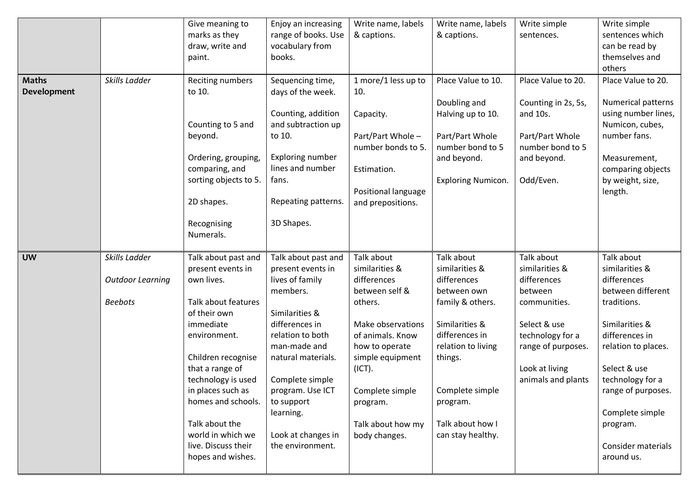|              |                         | Give meaning to                          | Enjoy an increasing         | Write name, labels           | Write name, labels           | Write simple        | Write simple                 |
|--------------|-------------------------|------------------------------------------|-----------------------------|------------------------------|------------------------------|---------------------|------------------------------|
|              |                         | marks as they                            | range of books. Use         | & captions.                  | & captions.                  | sentences.          | sentences which              |
|              |                         | draw, write and                          | vocabulary from             |                              |                              |                     | can be read by               |
|              |                         | paint.                                   | books.                      |                              |                              |                     | themselves and               |
|              |                         |                                          |                             |                              |                              |                     | others                       |
| <b>Maths</b> | Skills Ladder           | Reciting numbers                         | Sequencing time,            | 1 more/1 less up to          | Place Value to 10.           | Place Value to 20.  | Place Value to 20.           |
| Development  |                         | to 10.                                   | days of the week.           | 10.                          |                              |                     |                              |
|              |                         |                                          |                             |                              | Doubling and                 | Counting in 2s, 5s, | Numerical patterns           |
|              |                         |                                          | Counting, addition          | Capacity.                    | Halving up to 10.            | and 10s.            | using number lines,          |
|              |                         | Counting to 5 and                        | and subtraction up          |                              |                              |                     | Numicon, cubes,              |
|              |                         | beyond.                                  | to 10.                      | Part/Part Whole -            | Part/Part Whole              | Part/Part Whole     | number fans.                 |
|              |                         |                                          |                             | number bonds to 5.           | number bond to 5             | number bond to 5    |                              |
|              |                         | Ordering, grouping,                      | Exploring number            |                              | and beyond.                  | and beyond.         | Measurement,                 |
|              |                         | comparing, and                           | lines and number            | Estimation.                  |                              |                     | comparing objects            |
|              |                         | sorting objects to 5.                    | fans.                       |                              | <b>Exploring Numicon.</b>    | Odd/Even.           | by weight, size,             |
|              |                         |                                          |                             | Positional language          |                              |                     | length.                      |
|              |                         | 2D shapes.                               | Repeating patterns.         | and prepositions.            |                              |                     |                              |
|              |                         | Recognising                              | 3D Shapes.                  |                              |                              |                     |                              |
|              |                         | Numerals.                                |                             |                              |                              |                     |                              |
|              |                         |                                          |                             |                              |                              |                     |                              |
|              |                         |                                          |                             |                              |                              |                     |                              |
|              |                         |                                          |                             |                              |                              | Talk about          |                              |
| <b>UW</b>    | Skills Ladder           | Talk about past and<br>present events in | Talk about past and         | Talk about<br>similarities & | Talk about<br>similarities & | similarities &      | Talk about<br>similarities & |
|              |                         | own lives.                               | present events in           | differences                  | differences                  | differences         | differences                  |
|              | <b>Outdoor Learning</b> |                                          | lives of family<br>members. | between self &               | between own                  | between             | between different            |
|              | <b>Beebots</b>          | Talk about features                      |                             | others.                      | family & others.             | communities.        | traditions.                  |
|              |                         | of their own                             | Similarities &              |                              |                              |                     |                              |
|              |                         | immediate                                | differences in              | Make observations            | Similarities &               | Select & use        | Similarities &               |
|              |                         | environment.                             | relation to both            | of animals. Know             | differences in               | technology for a    | differences in               |
|              |                         |                                          | man-made and                | how to operate               | relation to living           | range of purposes.  | relation to places.          |
|              |                         | Children recognise                       | natural materials.          | simple equipment             | things.                      |                     |                              |
|              |                         | that a range of                          |                             | (ICT).                       |                              | Look at living      | Select & use                 |
|              |                         | technology is used                       | Complete simple             |                              |                              | animals and plants  | technology for a             |
|              |                         | in places such as                        | program. Use ICT            | Complete simple              | Complete simple              |                     | range of purposes.           |
|              |                         | homes and schools.                       | to support                  | program.                     | program.                     |                     |                              |
|              |                         |                                          | learning.                   |                              |                              |                     | Complete simple              |
|              |                         | Talk about the                           |                             | Talk about how my            | Talk about how I             |                     | program.                     |
|              |                         | world in which we                        | Look at changes in          | body changes.                | can stay healthy.            |                     |                              |
|              |                         | live. Discuss their                      | the environment.            |                              |                              |                     | Consider materials           |
|              |                         | hopes and wishes.                        |                             |                              |                              |                     | around us.                   |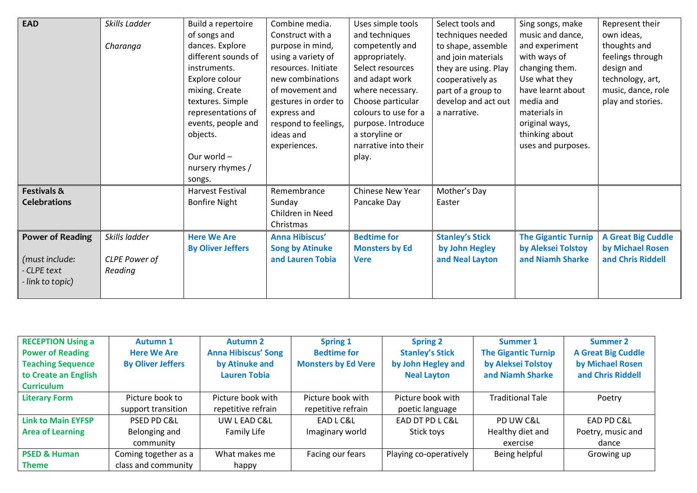| <b>EAD</b>              | Skills Ladder | Build a repertoire       | Combine media.         | Uses simple tools     | Select tools and       | Sing songs, make           | Represent their           |
|-------------------------|---------------|--------------------------|------------------------|-----------------------|------------------------|----------------------------|---------------------------|
|                         |               | of songs and             | Construct with a       | and techniques        | techniques needed      | music and dance,           | own ideas,                |
|                         | Charanga      | dances. Explore          | purpose in mind,       | competently and       | to shape, assemble     | and experiment             | thoughts and              |
|                         |               | different sounds of      | using a variety of     | appropriately.        | and join materials     | with ways of               | feelings through          |
|                         |               | instruments.             | resources. Initiate    | Select resources      | they are using. Play   | changing them.             | design and                |
|                         |               | Explore colour           | new combinations       | and adapt work        | cooperatively as       | Use what they              | technology, art,          |
|                         |               | mixing. Create           | of movement and        | where necessary.      | part of a group to     | have learnt about          | music, dance, role        |
|                         |               | textures. Simple         | gestures in order to   | Choose particular     | develop and act out    | media and                  | play and stories.         |
|                         |               | representations of       | express and            | colours to use for a  | a narrative.           | materials in               |                           |
|                         |               | events, people and       | respond to feelings,   | purpose. Introduce    |                        | original ways,             |                           |
|                         |               | objects.                 | ideas and              | a storyline or        |                        | thinking about             |                           |
|                         |               |                          | experiences.           | narrative into their  |                        | uses and purposes.         |                           |
|                         |               | Our world -              |                        | play.                 |                        |                            |                           |
|                         |               | nursery rhymes /         |                        |                       |                        |                            |                           |
|                         |               | songs.                   |                        |                       |                        |                            |                           |
| <b>Festivals &amp;</b>  |               | Harvest Festival         | Remembrance            | Chinese New Year      | Mother's Day           |                            |                           |
| <b>Celebrations</b>     |               | <b>Bonfire Night</b>     | Sunday                 | Pancake Day           | Easter                 |                            |                           |
|                         |               |                          | Children in Need       |                       |                        |                            |                           |
|                         |               |                          | Christmas              |                       |                        |                            |                           |
| <b>Power of Reading</b> | Skills ladder | <b>Here We Are</b>       | Anna Hibiscus'         | <b>Bedtime for</b>    | <b>Stanley's Stick</b> | <b>The Gigantic Turnip</b> | <b>A Great Big Cuddle</b> |
|                         |               | <b>By Oliver Jeffers</b> | <b>Song by Atinuke</b> | <b>Monsters by Ed</b> | by John Hegley         | by Aleksei Tolstoy         | by Michael Rosen          |
| (must include:          | CLPE Power of |                          | and Lauren Tobia       | <b>Vere</b>           | and Neal Layton        | and Niamh Sharke           | and Chris Riddell         |
| - CLPE text             | Reading       |                          |                        |                       |                        |                            |                           |
| - link to topic)        |               |                          |                        |                       |                        |                            |                           |
|                         |               |                          |                        |                       |                        |                            |                           |

| <b>RECEPTION Using a</b>  | <b>Autumn 1</b>          | <b>Autumn 2</b>            | <b>Spring 1</b>            | <b>Spring 2</b>        | Summer 1                   | <b>Summer 2</b>           |
|---------------------------|--------------------------|----------------------------|----------------------------|------------------------|----------------------------|---------------------------|
| <b>Power of Reading</b>   | <b>Here We Are</b>       | <b>Anna Hibiscus' Song</b> | <b>Bedtime for</b>         | <b>Stanley's Stick</b> | <b>The Gigantic Turnip</b> | <b>A Great Big Cuddle</b> |
| <b>Teaching Sequence</b>  | <b>By Oliver Jeffers</b> | by Atinuke and             | <b>Monsters by Ed Vere</b> | by John Hegley and     | by Aleksei Tolstoy         | by Michael Rosen          |
| to Create an English      |                          | <b>Lauren Tobia</b>        |                            | <b>Neal Layton</b>     | and Niamh Sharke           | and Chris Riddell         |
| <b>Curriculum</b>         |                          |                            |                            |                        |                            |                           |
| <b>Literary Form</b>      | Picture book to          | Picture book with          | Picture book with          | Picture book with      | <b>Traditional Tale</b>    | Poetry                    |
|                           | support transition       | repetitive refrain         | repetitive refrain         | poetic language        |                            |                           |
| <b>Link to Main EYFSP</b> | PSED PD C&L              | UW L EAD C&L               | EAD L C&L                  | EAD DT PD LC&L         | PD UW C&L                  | EAD PD C&L                |
| <b>Area of Learning</b>   | Belonging and            | Family Life                | Imaginary world            | Stick toys             | Healthy diet and           | Poetry, music and         |
|                           | community                |                            |                            |                        | exercise                   | dance                     |
| <b>PSED &amp; Human</b>   | Coming together as a     | What makes me              | Facing our fears           | Playing co-operatively | Being helpful              | Growing up                |
| <b>Theme</b>              | class and community      | happy                      |                            |                        |                            |                           |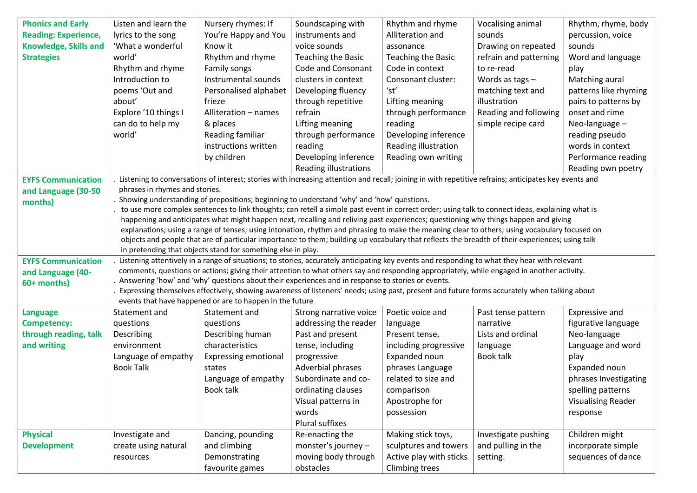| <b>Phonics and Early</b>     | Listen and learn the           | Nursery rhymes: If                                                                                | Soundscaping with            | Rhythm and rhyme        | Vocalising animal                                                                                                                                                                                                                                                                    | Rhythm, rhyme, body       |
|------------------------------|--------------------------------|---------------------------------------------------------------------------------------------------|------------------------------|-------------------------|--------------------------------------------------------------------------------------------------------------------------------------------------------------------------------------------------------------------------------------------------------------------------------------|---------------------------|
| <b>Reading: Experience,</b>  | lyrics to the song             | You're Happy and You                                                                              | instruments and              | Alliteration and        | sounds                                                                                                                                                                                                                                                                               | percussion, voice         |
| <b>Knowledge, Skills and</b> | 'What a wonderful              | Know it                                                                                           | voice sounds                 | assonance               | Drawing on repeated                                                                                                                                                                                                                                                                  | sounds                    |
| <b>Strategies</b>            | world'                         | Rhythm and rhyme                                                                                  | Teaching the Basic           | Teaching the Basic      | refrain and patterning                                                                                                                                                                                                                                                               | Word and language         |
|                              | Rhythm and rhyme               | Family songs                                                                                      | Code and Consonant           | Code in context         | to re-read                                                                                                                                                                                                                                                                           | play                      |
|                              | Introduction to                | Instrumental sounds                                                                               | clusters in context          | Consonant cluster:      | Words as tags $-$                                                                                                                                                                                                                                                                    | Matching aural            |
|                              | poems 'Out and                 | Personalised alphabet                                                                             | Developing fluency           | 'st'                    | matching text and                                                                                                                                                                                                                                                                    | patterns like rhyming     |
|                              | about'                         | frieze                                                                                            | through repetitive           | Lifting meaning         | illustration                                                                                                                                                                                                                                                                         | pairs to patterns by      |
|                              | Explore '10 things I           | Alliteration - names                                                                              | refrain                      | through performance     | Reading and following                                                                                                                                                                                                                                                                | onset and rime            |
|                              | can do to help my              | & places                                                                                          | Lifting meaning              | reading                 | simple recipe card                                                                                                                                                                                                                                                                   | Neo-language -            |
|                              | world'                         | Reading familiar                                                                                  | through performance          | Developing inference    |                                                                                                                                                                                                                                                                                      | reading pseudo            |
|                              |                                | instructions written                                                                              | reading                      | Reading illustration    |                                                                                                                                                                                                                                                                                      | words in context          |
|                              |                                | by children                                                                                       | Developing inference         | Reading own writing     |                                                                                                                                                                                                                                                                                      | Performance reading       |
|                              |                                |                                                                                                   | <b>Reading illustrations</b> |                         |                                                                                                                                                                                                                                                                                      | Reading own poetry        |
| <b>EYFS Communication</b>    |                                |                                                                                                   |                              |                         | Listening to conversations of interest; stories with increasing attention and recall; joining in with repetitive refrains; anticipates key events and                                                                                                                                |                           |
| and Language (30-50          | phrases in rhymes and stories. |                                                                                                   |                              |                         |                                                                                                                                                                                                                                                                                      |                           |
| months)                      |                                | Showing understanding of prepositions; beginning to understand 'why' and 'how' questions.         |                              |                         |                                                                                                                                                                                                                                                                                      |                           |
|                              |                                |                                                                                                   |                              |                         | to use more complex sentences to link thoughts; can retell a simple past event in correct order; using talk to connect ideas, explaining what is                                                                                                                                     |                           |
|                              |                                |                                                                                                   |                              |                         | happening and anticipates what might happen next, recalling and reliving past experiences; questioning why things happen and giving<br>explanations; using a range of tenses; using intonation, rhythm and phrasing to make the meaning clear to others; using vocabulary focused on |                           |
|                              |                                |                                                                                                   |                              |                         | objects and people that are of particular importance to them; building up vocabulary that reflects the breadth of their experiences; using talk                                                                                                                                      |                           |
|                              |                                | in pretending that objects stand for something else in play.                                      |                              |                         |                                                                                                                                                                                                                                                                                      |                           |
| <b>EYFS Communication</b>    |                                |                                                                                                   |                              |                         | Listening attentively in a range of situations; to stories, accurately anticipating key events and responding to what they hear with relevant                                                                                                                                        |                           |
| and Language (40-            |                                |                                                                                                   |                              |                         | comments, questions or actions; giving their attention to what others say and responding appropriately, while engaged in another activity.                                                                                                                                           |                           |
| 60+ months)                  |                                | Answering 'how' and 'why' questions about their experiences and in response to stories or events. |                              |                         |                                                                                                                                                                                                                                                                                      |                           |
|                              |                                |                                                                                                   |                              |                         | Expressing themselves effectively, showing awareness of listeners' needs; using past, present and future forms accurately when talking about                                                                                                                                         |                           |
|                              |                                | events that have happened or are to happen in the future                                          |                              |                         |                                                                                                                                                                                                                                                                                      |                           |
| Language                     | Statement and                  | Statement and                                                                                     | Strong narrative voice       | Poetic voice and        | Past tense pattern                                                                                                                                                                                                                                                                   | Expressive and            |
| <b>Competency:</b>           | questions                      | questions                                                                                         | addressing the reader        | language                | narrative                                                                                                                                                                                                                                                                            | figurative language       |
| through reading, talk        | Describing                     | Describing human                                                                                  | Past and present             | Present tense,          | Lists and ordinal                                                                                                                                                                                                                                                                    | Neo-language              |
| and writing                  | environment                    | characteristics                                                                                   | tense, including             | including progressive   | language                                                                                                                                                                                                                                                                             | Language and word         |
|                              | Language of empathy            | <b>Expressing emotional</b>                                                                       | progressive                  | Expanded noun           | <b>Book talk</b>                                                                                                                                                                                                                                                                     | play                      |
|                              | <b>Book Talk</b>               | states                                                                                            | Adverbial phrases            | phrases Language        |                                                                                                                                                                                                                                                                                      | Expanded noun             |
|                              |                                | Language of empathy                                                                               | Subordinate and co-          | related to size and     |                                                                                                                                                                                                                                                                                      | phrases Investigating     |
|                              |                                | Book talk                                                                                         | ordinating clauses           | comparison              |                                                                                                                                                                                                                                                                                      | spelling patterns         |
|                              |                                |                                                                                                   | Visual patterns in           | Apostrophe for          |                                                                                                                                                                                                                                                                                      | <b>Visualising Reader</b> |
|                              |                                |                                                                                                   | words                        | possession              |                                                                                                                                                                                                                                                                                      | response                  |
|                              |                                |                                                                                                   | Plural suffixes              |                         |                                                                                                                                                                                                                                                                                      |                           |
| <b>Physical</b>              | Investigate and                | Dancing, pounding                                                                                 | Re-enacting the              | Making stick toys,      | Investigate pushing                                                                                                                                                                                                                                                                  | Children might            |
| <b>Development</b>           | create using natural           | and climbing                                                                                      | monster's journey -          | sculptures and towers   | and pulling in the                                                                                                                                                                                                                                                                   | incorporate simple        |
|                              | resources                      | Demonstrating                                                                                     | moving body through          | Active play with sticks | setting.                                                                                                                                                                                                                                                                             | sequences of dance        |
|                              |                                | favourite games                                                                                   | obstacles                    | <b>Climbing trees</b>   |                                                                                                                                                                                                                                                                                      |                           |